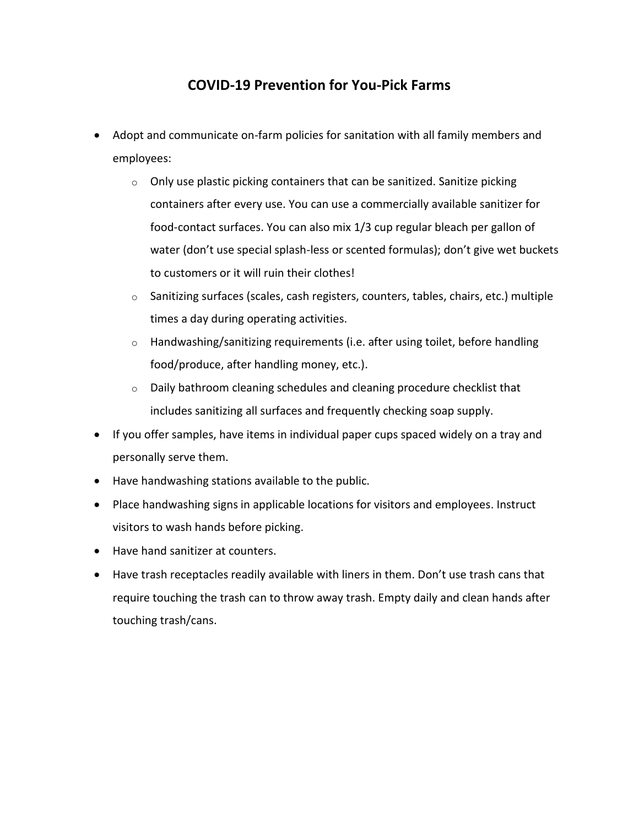## **COVID-19 Prevention for You-Pick Farms**

- Adopt and communicate on-farm policies for sanitation with all family members and employees:
	- $\circ$  Only use plastic picking containers that can be sanitized. Sanitize picking containers after every use. You can use a commercially available sanitizer for food-contact surfaces. You can also mix 1/3 cup regular bleach per gallon of water (don't use special splash-less or scented formulas); don't give wet buckets to customers or it will ruin their clothes!
	- o Sanitizing surfaces (scales, cash registers, counters, tables, chairs, etc.) multiple times a day during operating activities.
	- $\circ$  Handwashing/sanitizing requirements (i.e. after using toilet, before handling food/produce, after handling money, etc.).
	- $\circ$  Daily bathroom cleaning schedules and cleaning procedure checklist that includes sanitizing all surfaces and frequently checking soap supply.
- If you offer samples, have items in individual paper cups spaced widely on a tray and personally serve them.
- Have handwashing stations available to the public.
- Place handwashing signs in applicable locations for visitors and employees. Instruct visitors to wash hands before picking.
- Have hand sanitizer at counters.
- Have trash receptacles readily available with liners in them. Don't use trash cans that require touching the trash can to throw away trash. Empty daily and clean hands after touching trash/cans.